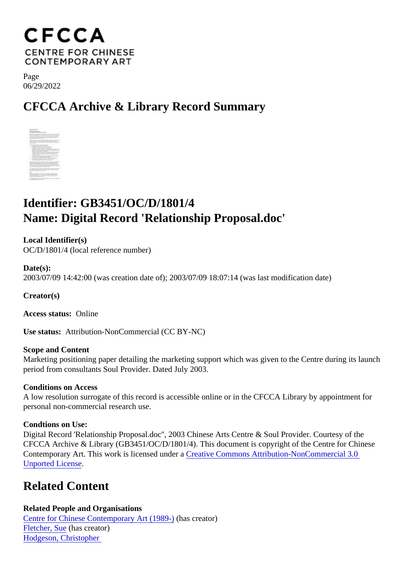Page 06/29/2022

## CFCCA Archive & Library Record Summary

## Identifier: GB3451/OC/D/1801/4 Name: Digital Record 'Relationship Proposal.doc'

Local Identifier(s) OC/D/1801/4 (local reference number)

Date(s): 2003/07/09 14:42:00 (was creation date of); 2003/07/09 18:07:14 (was last modification date)

Creator(s)

Access status: Online

Use status: Attribution-NonCommercial (CC BY-NC)

Scope and Content Marketing positioning paper detailing the marketing support which was given to the Centre duaing the period from consultants Soul Provider. Dated July 2003.

Conditions on Access

A low resolution surrogate of this record is accessible online or in the CFCCA Library by appointment for personal non-commercial research use.

Condtions on Use:

Digital Record 'Relationship Proposal.doc'', 2003 Chinese Arts Centre & Soul Provider. Courtesy of the CFCCA Archive & Library (GB3451/OC/D/1801/4). This document is copyright of the Centre for Chinese Contemporary Art. This work is licensed under ative Commons Attribution-NonCommercial 3.0 [Unported Licens](https://creativecommons.org/licenses/by-nc/3.0/)e[.](https://creativecommons.org/licenses/by-nc/3.0/)

## Related Content

Related People and Organisations [Centre for Chinese Contemporary Art \(198](/index.php/Detail/entities/2)<sup>0</sup>)as creator) [Fletcher, Su](/index.php/Detail/entities/4033)ehas creator) [Hodgeson, Christophe](/index.php/Detail/entities/4023)r